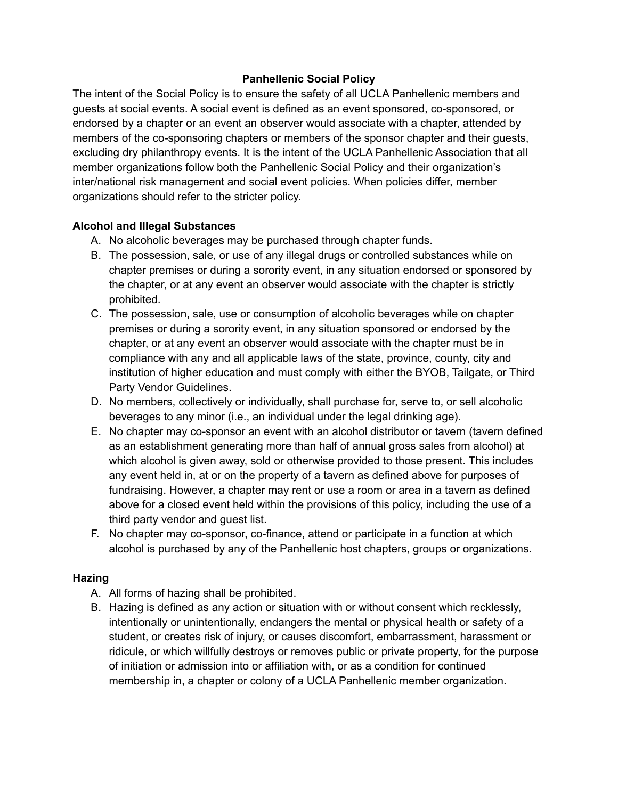#### **Panhellenic Social Policy**

The intent of the Social Policy is to ensure the safety of all UCLA Panhellenic members and guests at social events. A social event is defined as an event sponsored, co-sponsored, or endorsed by a chapter or an event an observer would associate with a chapter, attended by members of the co-sponsoring chapters or members of the sponsor chapter and their guests, excluding dry philanthropy events. It is the intent of the UCLA Panhellenic Association that all member organizations follow both the Panhellenic Social Policy and their organization's inter/national risk management and social event policies. When policies differ, member organizations should refer to the stricter policy.

#### **Alcohol and Illegal Substances**

- A. No alcoholic beverages may be purchased through chapter funds.
- B. The possession, sale, or use of any illegal drugs or controlled substances while on chapter premises or during a sorority event, in any situation endorsed or sponsored by the chapter, or at any event an observer would associate with the chapter is strictly prohibited.
- C. The possession, sale, use or consumption of alcoholic beverages while on chapter premises or during a sorority event, in any situation sponsored or endorsed by the chapter, or at any event an observer would associate with the chapter must be in compliance with any and all applicable laws of the state, province, county, city and institution of higher education and must comply with either the BYOB, Tailgate, or Third Party Vendor Guidelines.
- D. No members, collectively or individually, shall purchase for, serve to, or sell alcoholic beverages to any minor (i.e., an individual under the legal drinking age).
- E. No chapter may co-sponsor an event with an alcohol distributor or tavern (tavern defined as an establishment generating more than half of annual gross sales from alcohol) at which alcohol is given away, sold or otherwise provided to those present. This includes any event held in, at or on the property of a tavern as defined above for purposes of fundraising. However, a chapter may rent or use a room or area in a tavern as defined above for a closed event held within the provisions of this policy, including the use of a third party vendor and guest list.
- F. No chapter may co-sponsor, co-finance, attend or participate in a function at which alcohol is purchased by any of the Panhellenic host chapters, groups or organizations.

#### **Hazing**

- A. All forms of hazing shall be prohibited.
- B. Hazing is defined as any action or situation with or without consent which recklessly, intentionally or unintentionally, endangers the mental or physical health or safety of a student, or creates risk of injury, or causes discomfort, embarrassment, harassment or ridicule, or which willfully destroys or removes public or private property, for the purpose of initiation or admission into or affiliation with, or as a condition for continued membership in, a chapter or colony of a UCLA Panhellenic member organization.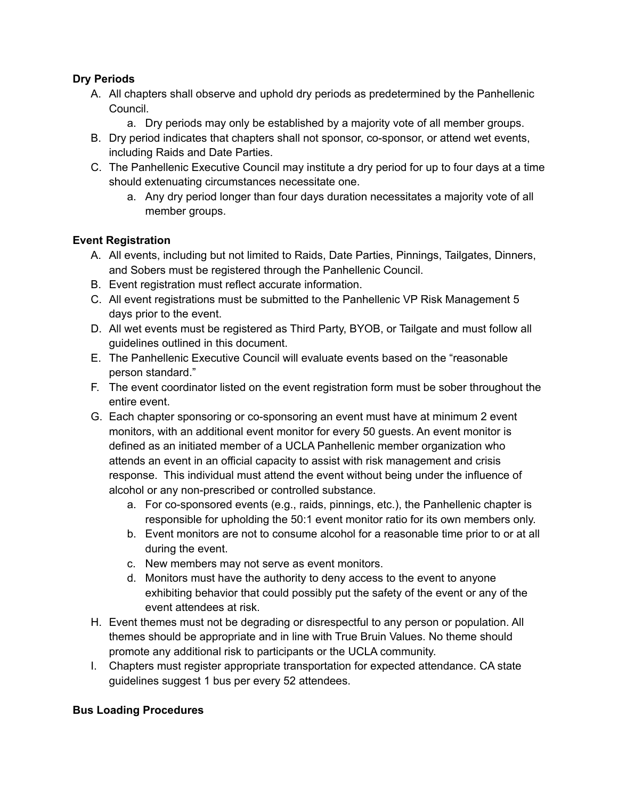## **Dry Periods**

- A. All chapters shall observe and uphold dry periods as predetermined by the Panhellenic Council.
	- a. Dry periods may only be established by a majority vote of all member groups.
- B. Dry period indicates that chapters shall not sponsor, co-sponsor, or attend wet events, including Raids and Date Parties.
- C. The Panhellenic Executive Council may institute a dry period for up to four days at a time should extenuating circumstances necessitate one.
	- a. Any dry period longer than four days duration necessitates a majority vote of all member groups.

# **Event Registration**

- A. All events, including but not limited to Raids, Date Parties, Pinnings, Tailgates, Dinners, and Sobers must be registered through the Panhellenic Council.
- B. Event registration must reflect accurate information.
- C. All event registrations must be submitted to the Panhellenic VP Risk Management 5 days prior to the event.
- D. All wet events must be registered as Third Party, BYOB, or Tailgate and must follow all guidelines outlined in this document.
- E. The Panhellenic Executive Council will evaluate events based on the "reasonable person standard."
- F. The event coordinator listed on the event registration form must be sober throughout the entire event.
- G. Each chapter sponsoring or co-sponsoring an event must have at minimum 2 event monitors, with an additional event monitor for every 50 guests. An event monitor is defined as an initiated member of a UCLA Panhellenic member organization who attends an event in an official capacity to assist with risk management and crisis response. This individual must attend the event without being under the influence of alcohol or any non-prescribed or controlled substance.
	- a. For co-sponsored events (e.g., raids, pinnings, etc.), the Panhellenic chapter is responsible for upholding the 50:1 event monitor ratio for its own members only.
	- b. Event monitors are not to consume alcohol for a reasonable time prior to or at all during the event.
	- c. New members may not serve as event monitors.
	- d. Monitors must have the authority to deny access to the event to anyone exhibiting behavior that could possibly put the safety of the event or any of the event attendees at risk.
- H. Event themes must not be degrading or disrespectful to any person or population. All themes should be appropriate and in line with True Bruin Values. No theme should promote any additional risk to participants or the UCLA community.
- I. Chapters must register appropriate transportation for expected attendance. CA state guidelines suggest 1 bus per every 52 attendees.

## **Bus Loading Procedures**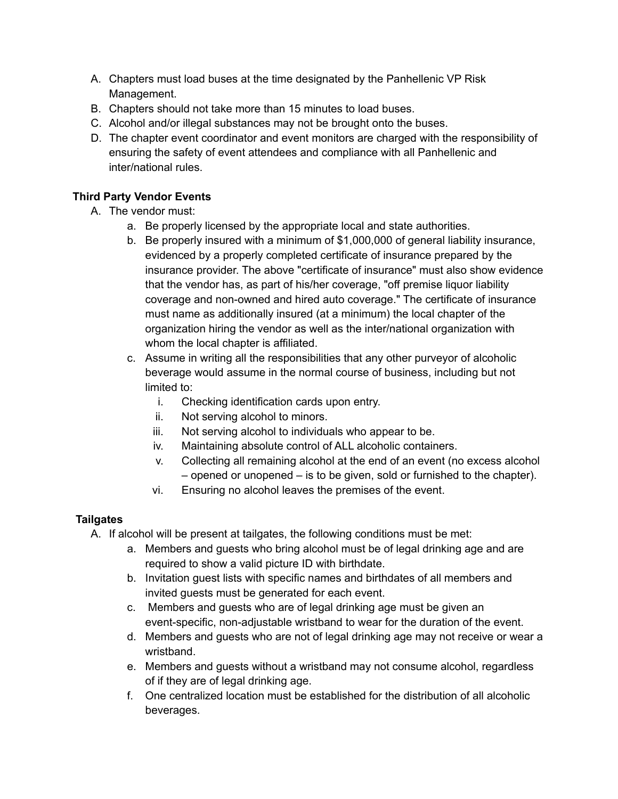- A. Chapters must load buses at the time designated by the Panhellenic VP Risk Management.
- B. Chapters should not take more than 15 minutes to load buses.
- C. Alcohol and/or illegal substances may not be brought onto the buses.
- D. The chapter event coordinator and event monitors are charged with the responsibility of ensuring the safety of event attendees and compliance with all Panhellenic and inter/national rules.

# **Third Party Vendor Events**

- A. The vendor must:
	- a. Be properly licensed by the appropriate local and state authorities.
	- b. Be properly insured with a minimum of \$1,000,000 of general liability insurance, evidenced by a properly completed certificate of insurance prepared by the insurance provider. The above "certificate of insurance" must also show evidence that the vendor has, as part of his/her coverage, "off premise liquor liability coverage and non-owned and hired auto coverage." The certificate of insurance must name as additionally insured (at a minimum) the local chapter of the organization hiring the vendor as well as the inter/national organization with whom the local chapter is affiliated.
	- c. Assume in writing all the responsibilities that any other purveyor of alcoholic beverage would assume in the normal course of business, including but not limited to:
		- i. Checking identification cards upon entry.
		- ii. Not serving alcohol to minors.
		- iii. Not serving alcohol to individuals who appear to be.
		- iv. Maintaining absolute control of ALL alcoholic containers.
		- v. Collecting all remaining alcohol at the end of an event (no excess alcohol – opened or unopened – is to be given, sold or furnished to the chapter).
		- vi. Ensuring no alcohol leaves the premises of the event.

## **Tailgates**

- A. If alcohol will be present at tailgates, the following conditions must be met:
	- a. Members and guests who bring alcohol must be of legal drinking age and are required to show a valid picture ID with birthdate.
	- b. Invitation guest lists with specific names and birthdates of all members and invited guests must be generated for each event.
	- c. Members and guests who are of legal drinking age must be given an event-specific, non-adjustable wristband to wear for the duration of the event.
	- d. Members and guests who are not of legal drinking age may not receive or wear a wristband.
	- e. Members and guests without a wristband may not consume alcohol, regardless of if they are of legal drinking age.
	- f. One centralized location must be established for the distribution of all alcoholic beverages.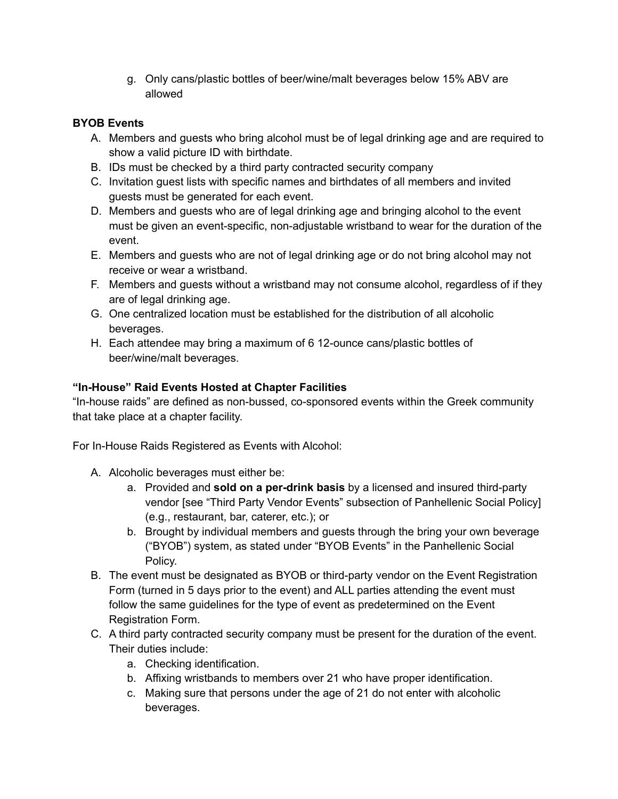g. Only cans/plastic bottles of beer/wine/malt beverages below 15% ABV are allowed

## **BYOB Events**

- A. Members and guests who bring alcohol must be of legal drinking age and are required to show a valid picture ID with birthdate.
- B. IDs must be checked by a third party contracted security company
- C. Invitation guest lists with specific names and birthdates of all members and invited guests must be generated for each event.
- D. Members and guests who are of legal drinking age and bringing alcohol to the event must be given an event-specific, non-adjustable wristband to wear for the duration of the event.
- E. Members and guests who are not of legal drinking age or do not bring alcohol may not receive or wear a wristband.
- F. Members and guests without a wristband may not consume alcohol, regardless of if they are of legal drinking age.
- G. One centralized location must be established for the distribution of all alcoholic beverages.
- H. Each attendee may bring a maximum of 6 12-ounce cans/plastic bottles of beer/wine/malt beverages.

## **"In-House" Raid Events Hosted at Chapter Facilities**

"In-house raids" are defined as non-bussed, co-sponsored events within the Greek community that take place at a chapter facility.

For In-House Raids Registered as Events with Alcohol:

- A. Alcoholic beverages must either be:
	- a. Provided and **sold on a per-drink basis** by a licensed and insured third-party vendor [see "Third Party Vendor Events" subsection of Panhellenic Social Policy] (e.g., restaurant, bar, caterer, etc.); or
	- b. Brought by individual members and guests through the bring your own beverage ("BYOB") system, as stated under "BYOB Events" in the Panhellenic Social Policy.
- B. The event must be designated as BYOB or third-party vendor on the Event Registration Form (turned in 5 days prior to the event) and ALL parties attending the event must follow the same guidelines for the type of event as predetermined on the Event Registration Form.
- C. A third party contracted security company must be present for the duration of the event. Their duties include:
	- a. Checking identification.
	- b. Affixing wristbands to members over 21 who have proper identification.
	- c. Making sure that persons under the age of 21 do not enter with alcoholic beverages.